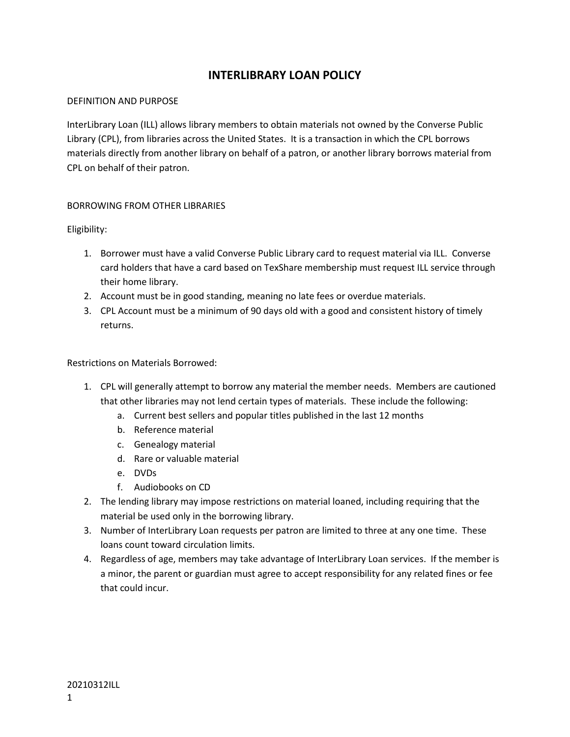# **INTERLIBRARY LOAN POLICY**

### DEFINITION AND PURPOSE

InterLibrary Loan (ILL) allows library members to obtain materials not owned by the Converse Public Library (CPL), from libraries across the United States. It is a transaction in which the CPL borrows materials directly from another library on behalf of a patron, or another library borrows material from CPL on behalf of their patron.

## BORROWING FROM OTHER LIBRARIES

Eligibility:

- 1. Borrower must have a valid Converse Public Library card to request material via ILL. Converse card holders that have a card based on TexShare membership must request ILL service through their home library.
- 2. Account must be in good standing, meaning no late fees or overdue materials.
- 3. CPL Account must be a minimum of 90 days old with a good and consistent history of timely returns.

Restrictions on Materials Borrowed:

- 1. CPL will generally attempt to borrow any material the member needs. Members are cautioned that other libraries may not lend certain types of materials. These include the following:
	- a. Current best sellers and popular titles published in the last 12 months
	- b. Reference material
	- c. Genealogy material
	- d. Rare or valuable material
	- e. DVDs
	- f. Audiobooks on CD
- 2. The lending library may impose restrictions on material loaned, including requiring that the material be used only in the borrowing library.
- 3. Number of InterLibrary Loan requests per patron are limited to three at any one time. These loans count toward circulation limits.
- 4. Regardless of age, members may take advantage of InterLibrary Loan services. If the member is a minor, the parent or guardian must agree to accept responsibility for any related fines or fee that could incur.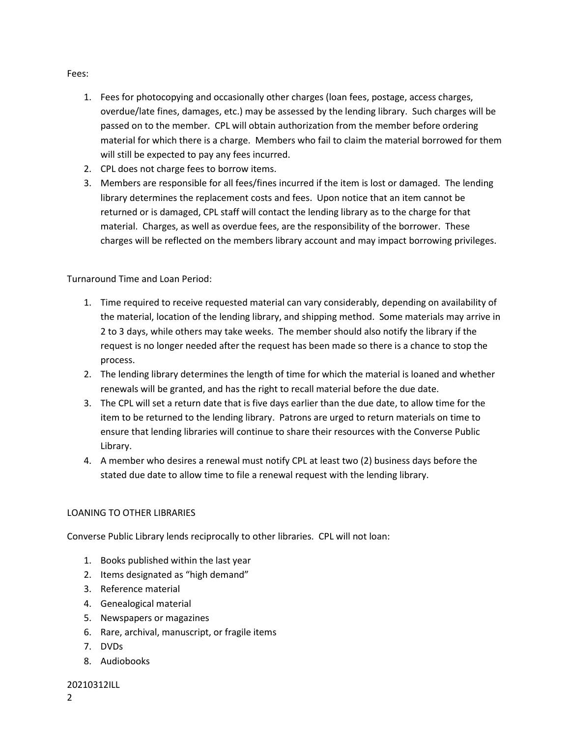### Fees:

- 1. Fees for photocopying and occasionally other charges (loan fees, postage, access charges, overdue/late fines, damages, etc.) may be assessed by the lending library. Such charges will be passed on to the member. CPL will obtain authorization from the member before ordering material for which there is a charge. Members who fail to claim the material borrowed for them will still be expected to pay any fees incurred.
- 2. CPL does not charge fees to borrow items.
- 3. Members are responsible for all fees/fines incurred if the item is lost or damaged. The lending library determines the replacement costs and fees. Upon notice that an item cannot be returned or is damaged, CPL staff will contact the lending library as to the charge for that material. Charges, as well as overdue fees, are the responsibility of the borrower. These charges will be reflected on the members library account and may impact borrowing privileges.

Turnaround Time and Loan Period:

- 1. Time required to receive requested material can vary considerably, depending on availability of the material, location of the lending library, and shipping method. Some materials may arrive in 2 to 3 days, while others may take weeks. The member should also notify the library if the request is no longer needed after the request has been made so there is a chance to stop the process.
- 2. The lending library determines the length of time for which the material is loaned and whether renewals will be granted, and has the right to recall material before the due date.
- 3. The CPL will set a return date that is five days earlier than the due date, to allow time for the item to be returned to the lending library. Patrons are urged to return materials on time to ensure that lending libraries will continue to share their resources with the Converse Public Library.
- 4. A member who desires a renewal must notify CPL at least two (2) business days before the stated due date to allow time to file a renewal request with the lending library.

# LOANING TO OTHER LIBRARIES

Converse Public Library lends reciprocally to other libraries. CPL will not loan:

- 1. Books published within the last year
- 2. Items designated as "high demand"
- 3. Reference material
- 4. Genealogical material
- 5. Newspapers or magazines
- 6. Rare, archival, manuscript, or fragile items
- 7. DVDs
- 8. Audiobooks